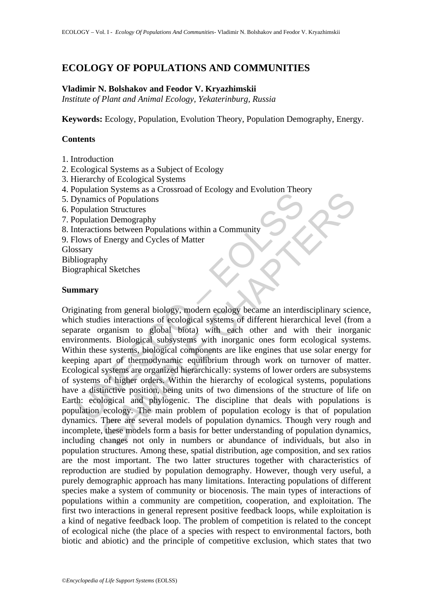# **ECOLOGY OF POPULATIONS AND COMMUNITIES**

# **Vladimir N. Bolshakov and Feodor V. Kryazhimskii**

*Institute of Plant and Animal Ecology, Yekaterinburg, Russia* 

**Keywords:** Ecology, Population, Evolution Theory, Population Demography, Energy.

# **Contents**

- 1. Introduction
- 2. Ecological Systems as a Subject of Ecology
- 3. Hierarchy of Ecological Systems
- 4. Population Systems as a Crossroad of Ecology and Evolution Theory
- 5. Dynamics of Populations
- 6. Population Structures
- 7. Population Demography
- 8. Interactions between Populations within a Community
- 9. Flows of Energy and Cycles of Matter

Glossary

Bibliography

Biographical Sketches

### **Summary**

Explanation Systems and Consumering and Consuming Schemation Systems<br>
Symmics of Populations<br>
opulations between Populations within a Community<br>
stary<br>
stary<br>
stary<br>
stary<br>
stary<br>
stary<br>
stary<br>
ingraphy<br>
graphical Sketches on Systems as a crossoda of Ecology and Evolution rheory<br>on Structures<br>on Structures<br>on Structures<br>on Structures<br>on Structures<br>on Structures<br>on Structures<br>on Structures<br>on Structures<br>on Structures<br>on Structures<br>on Structur Originating from general biology, modern ecology became an interdisciplinary science, which studies interactions of ecological systems of different hierarchical level (from a separate organism to global biota) with each other and with their inorganic environments. Biological subsystems with inorganic ones form ecological systems. Within these systems, biological components are like engines that use solar energy for keeping apart of thermodynamic equilibrium through work on turnover of matter. Ecological systems are organized hierarchically: systems of lower orders are subsystems of systems of higher orders. Within the hierarchy of ecological systems, populations have a distinctive position, being units of two dimensions of the structure of life on Earth: ecological and phylogenic. The discipline that deals with populations is population ecology. The main problem of population ecology is that of population dynamics. There are several models of population dynamics. Though very rough and incomplete, these models form a basis for better understanding of population dynamics, including changes not only in numbers or abundance of individuals, but also in population structures. Among these, spatial distribution, age composition, and sex ratios are the most important. The two latter structures together with characteristics of reproduction are studied by population demography. However, though very useful, a purely demographic approach has many limitations. Interacting populations of different species make a system of community or biocenosis. The main types of interactions of populations within a community are competition, cooperation, and exploitation. The first two interactions in general represent positive feedback loops, while exploitation is a kind of negative feedback loop. The problem of competition is related to the concept of ecological niche (the place of a species with respect to environmental factors, both biotic and abiotic) and the principle of competitive exclusion, which states that two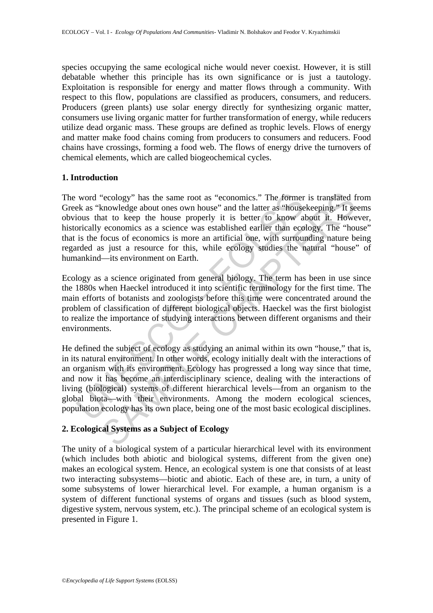species occupying the same ecological niche would never coexist. However, it is still debatable whether this principle has its own significance or is just a tautology. Exploitation is responsible for energy and matter flows through a community. With respect to this flow, populations are classified as producers, consumers, and reducers. Producers (green plants) use solar energy directly for synthesizing organic matter, consumers use living organic matter for further transformation of energy, while reducers utilize dead organic mass. These groups are defined as trophic levels. Flows of energy and matter make food chains coming from producers to consumers and reducers. Food chains have crossings, forming a food web. The flows of energy drive the turnovers of chemical elements, which are called biogeochemical cycles.

# **1. Introduction**

word "ecology" has the same root as "economics." The former<br>ek as "knowledge about ones own house" and the latter as "house<br>ous that to keep the house properly it is better to know a<br>orically economics as a science was est "ecology" has the same root as "economics." The former is translated frow the same root as "economics" and the latter as "housekeeping." It seem the bouse properly it is better to know about it. However the coconomics as a The word "ecology" has the same root as "economics." The former is translated from Greek as "knowledge about ones own house" and the latter as "housekeeping." It seems obvious that to keep the house properly it is better to know about it. However, historically economics as a science was established earlier than ecology. The "house" that is the focus of economics is more an artificial one, with surrounding nature being regarded as just a resource for this, while ecology studies the natural "house" of humankind—its environment on Earth.

Ecology as a science originated from general biology. The term has been in use since the 1880s when Haeckel introduced it into scientific terminology for the first time. The main efforts of botanists and zoologists before this time were concentrated around the problem of classification of different biological objects. Haeckel was the first biologist to realize the importance of studying interactions between different organisms and their environments.

He defined the subject of ecology as studying an animal within its own "house," that is, in its natural environment. In other words, ecology initially dealt with the interactions of an organism with its environment. Ecology has progressed a long way since that time, and now it has become an interdisciplinary science, dealing with the interactions of living (biological) systems of different hierarchical levels—from an organism to the global biota—with their environments. Among the modern ecological sciences, population ecology has its own place, being one of the most basic ecological disciplines.

# **2. Ecological Systems as a Subject of Ecology**

The unity of a biological system of a particular hierarchical level with its environment (which includes both abiotic and biological systems, different from the given one) makes an ecological system. Hence, an ecological system is one that consists of at least two interacting subsystems—biotic and abiotic. Each of these are, in turn, a unity of some subsystems of lower hierarchical level. For example, a human organism is a system of different functional systems of organs and tissues (such as blood system, digestive system, nervous system, etc.). The principal scheme of an ecological system is presented in Figure 1.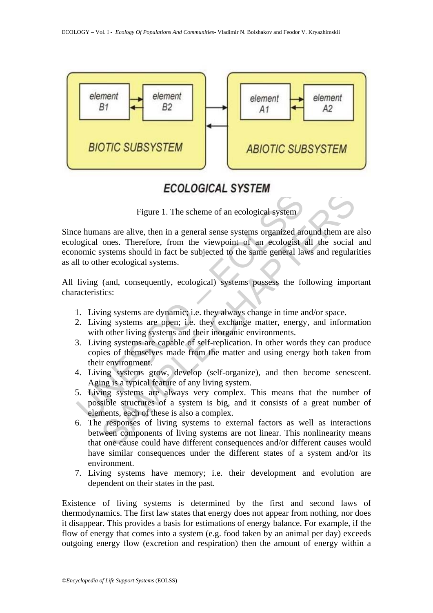

Figure 1. The scheme of an ecological system

Figure 1. The scheme of an ecological system<br>reading to the best information of a reduced and point of the semi-<br>nonic systems should in fact be subjected to the same general land<br>to other ecological systems.<br>It is other e Figure 1. The scheme of an ecological system<br>ans are alive, then in a general sense systems organized around them are<br>ones. Therefore, from the viewpoint of an ecologist all the social<br>systems should in fact be subjected t Since humans are alive, then in a general sense systems organized around them are also ecological ones. Therefore, from the viewpoint of an ecologist all the social and economic systems should in fact be subjected to the same general laws and regularities as all to other ecological systems.

All living (and, consequently, ecological) systems possess the following important characteristics:

- 1. Living systems are dynamic; i.e. they always change in time and/or space.
- 2. Living systems are open; i.e. they exchange matter, energy, and information with other living systems and their inorganic environments.
- 3. Living systems are capable of self-replication. In other words they can produce copies of themselves made from the matter and using energy both taken from their environment.
- 4. Living systems grow, develop (self-organize), and then become senescent. Aging is a typical feature of any living system.
- 5. Living systems are always very complex. This means that the number of possible structures of a system is big, and it consists of a great number of elements, each of these is also a complex.
- 6. The responses of living systems to external factors as well as interactions between components of living systems are not linear. This nonlinearity means that one cause could have different consequences and/or different causes would have similar consequences under the different states of a system and/or its environment.
- 7. Living systems have memory; i.e. their development and evolution are dependent on their states in the past.

Existence of living systems is determined by the first and second laws of thermodynamics. The first law states that energy does not appear from nothing, nor does it disappear. This provides a basis for estimations of energy balance. For example, if the flow of energy that comes into a system (e.g. food taken by an animal per day) exceeds outgoing energy flow (excretion and respiration) then the amount of energy within a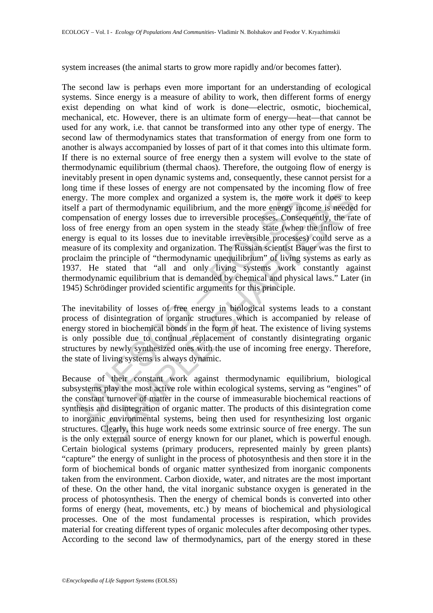system increases (the animal starts to grow more rapidly and/or becomes fatter).

"gy. The more complex and organized a system is, the more worst f a part of thermodynamic equilibrium, and the more energy incensation of energy fosses due to irreversible processes. Consect of free energy from an open sys is the more complex and organized a system is, the more work it does to 1 of thermodynamic equilibrium, and the more energy income is needee ion of energy losses due to inveversible processes. Consequently, the rate energy The second law is perhaps even more important for an understanding of ecological systems. Since energy is a measure of ability to work, then different forms of energy exist depending on what kind of work is done—electric, osmotic, biochemical, mechanical, etc. However, there is an ultimate form of energy—heat—that cannot be used for any work, i.e. that cannot be transformed into any other type of energy. The second law of thermodynamics states that transformation of energy from one form to another is always accompanied by losses of part of it that comes into this ultimate form. If there is no external source of free energy then a system will evolve to the state of thermodynamic equilibrium (thermal chaos). Therefore, the outgoing flow of energy is inevitably present in open dynamic systems and, consequently, these cannot persist for a long time if these losses of energy are not compensated by the incoming flow of free energy. The more complex and organized a system is, the more work it does to keep itself a part of thermodynamic equilibrium, and the more energy income is needed for compensation of energy losses due to irreversible processes. Consequently, the rate of loss of free energy from an open system in the steady state (when the inflow of free energy is equal to its losses due to inevitable irreversible processes) could serve as a measure of its complexity and organization. The Russian scientist Bauer was the first to proclaim the principle of "thermodynamic unequilibrium" of living systems as early as 1937. He stated that "all and only living systems work constantly against thermodynamic equilibrium that is demanded by chemical and physical laws." Later (in 1945) Schrödinger provided scientific arguments for this principle.

The inevitability of losses of free energy in biological systems leads to a constant process of disintegration of organic structures which is accompanied by release of energy stored in biochemical bonds in the form of heat. The existence of living systems is only possible due to continual replacement of constantly disintegrating organic structures by newly synthesized ones with the use of incoming free energy. Therefore, the state of living systems is always dynamic.

Because of their constant work against thermodynamic equilibrium, biological subsystems play the most active role within ecological systems, serving as "engines" of the constant turnover of matter in the course of immeasurable biochemical reactions of synthesis and disintegration of organic matter. The products of this disintegration come to inorganic environmental systems, being then used for resynthesizing lost organic structures. Clearly, this huge work needs some extrinsic source of free energy. The sun is the only external source of energy known for our planet, which is powerful enough. Certain biological systems (primary producers, represented mainly by green plants) "capture" the energy of sunlight in the process of photosynthesis and then store it in the form of biochemical bonds of organic matter synthesized from inorganic components taken from the environment. Carbon dioxide, water, and nitrates are the most important of these. On the other hand, the vital inorganic substance oxygen is generated in the process of photosynthesis. Then the energy of chemical bonds is converted into other forms of energy (heat, movements, etc.) by means of biochemical and physiological processes. One of the most fundamental processes is respiration, which provides material for creating different types of organic molecules after decomposing other types. According to the second law of thermodynamics, part of the energy stored in these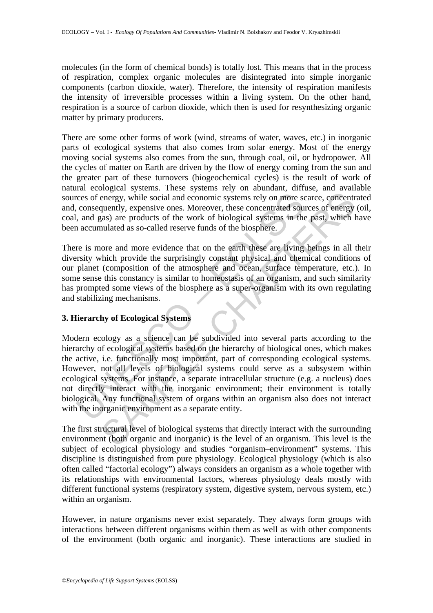molecules (in the form of chemical bonds) is totally lost. This means that in the process of respiration, complex organic molecules are disintegrated into simple inorganic components (carbon dioxide, water). Therefore, the intensity of respiration manifests the intensity of irreversible processes within a living system. On the other hand, respiration is a source of carbon dioxide, which then is used for resynthesizing organic matter by primary producers.

There are some other forms of work (wind, streams of water, waves, etc.) in inorganic parts of ecological systems that also comes from solar energy*.* Most of the energy moving social systems also comes from the sun, through coal, oil, or hydropower*.* All the cycles of matter on Earth are driven by the flow of energy coming from the sun and the greater part of these turnovers (biogeochemical cycles) is the result of work of natural ecological systems. These systems rely on abundant, diffuse, and available sources of energy, while social and economic systems rely on more scarce, concentrated and, consequently, expensive ones. Moreover, these concentrated sources of energy (oil, coal, and gas) are products of the work of biological systems in the past, which have been accumulated as so-called reserve funds of the biosphere.

There is more and more evidence that on the earth these are living beings in all their diversity which provide the surprisingly constant physical and chemical conditions of our planet (composition of the atmosphere and ocean, surface temperature, etc.). In some sense this constancy is similar to homeostasis of an organism, and such similarity has prompted some views of the biosphere as a super-organism with its own regulating and stabilizing mechanisms.

# **3. Hierarchy of Ecological Systems**

ces of energy, while social and economic systems rely on more sc<br>consequently, expensive ones. Moreover, these concentrated sou, and gas) are products of the work of biological systems in the<br>accumulated as so-called reser energy, while social and economic systems rely on more scarce, concentrated unergy, while social and economic systems rely on more scarce, concentrated unergations) are products of the work of biological systems in the pas Modern ecology as a science can be subdivided into several parts according to the hierarchy of ecological systems based on the hierarchy of biological ones, which makes the active, i.e. functionally most important, part of corresponding ecological systems. However, not all levels of biological systems could serve as a subsystem within ecological systems. For instance, a separate intracellular structure (e.g. a nucleus) does not directly interact with the inorganic environment; their environment is totally biological. Any functional system of organs within an organism also does not interact with the inorganic environment as a separate entity.

The first structural level of biological systems that directly interact with the surrounding environment (both organic and inorganic) is the level of an organism. This level is the subject of ecological physiology and studies "organism–environment" systems. This discipline is distinguished from pure physiology. Ecological physiology (which is also often called "factorial ecology") always considers an organism as a whole together with its relationships with environmental factors, whereas physiology deals mostly with different functional systems (respiratory system, digestive system, nervous system, etc.) within an organism.

However, in nature organisms never exist separately. They always form groups with interactions between different organisms within them as well as with other components of the environment (both organic and inorganic). These interactions are studied in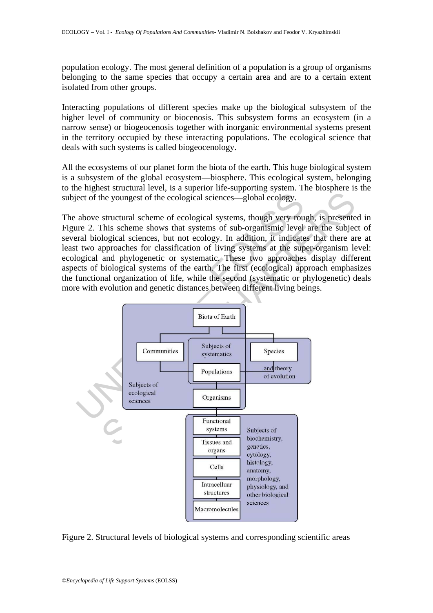population ecology. The most general definition of a population is a group of organisms belonging to the same species that occupy a certain area and are to a certain extent isolated from other groups.

Interacting populations of different species make up the biological subsystem of the higher level of community or biocenosis. This subsystem forms an ecosystem (in a narrow sense) or biogeocenosis together with inorganic environmental systems present in the territory occupied by these interacting populations. The ecological science that deals with such systems is called biogeocenology.

All the ecosystems of our planet form the biota of the earth. This huge biological system is a subsystem of the global ecosystem—biosphere. This ecological system, belonging to the highest structural level, is a superior life-supporting system. The biosphere is the subject of the youngest of the ecological sciences—global ecology.

The above structural scheme of ecological systems, though very rough, is presented in Figure 2. This scheme shows that systems of sub-organismic level are the subject of several biological sciences, but not ecology. In addition, it indicates that there are at least two approaches for classification of living systems at the super-organism level: ecological and phylogenetic or systematic. These two approaches display different aspects of biological systems of the earth. The first (ecological) approach emphasizes the functional organization of life, while the second (systematic or phylogenetic) deals more with evolution and genetic distances between different living beings.



Figure 2. Structural levels of biological systems and corresponding scientific areas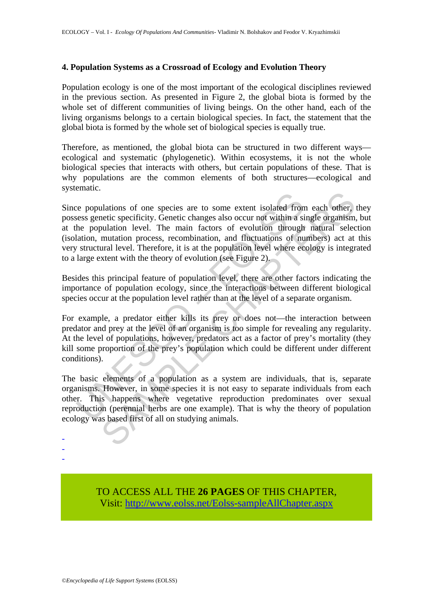# **4. Population Systems as a Crossroad of Ecology and Evolution Theory**

Population ecology is one of the most important of the ecological disciplines reviewed in the previous section. As presented in Figure 2, the global biota is formed by the whole set of different communities of living beings. On the other hand, each of the living organisms belongs to a certain biological species. In fact, the statement that the global biota is formed by the whole set of biological species is equally true.

Therefore, as mentioned, the global biota can be structured in two different ways ecological and systematic (phylogenetic). Within ecosystems, it is not the whole biological species that interacts with others, but certain populations of these. That is why populations are the common elements of both structures—ecological and systematic.

ie populations of one species are to some extent isolated from<br>sess genetic specificity. Genetic changes also occur not within a si<br>he population level. The main factors of evolution through<br>lation, mutation process, recom alations of one species are to some extent isolated from each other,<br>netic specificity. Genetic changes also occur not within a single organism<br>nulation level. The main factors of evolution through natural selec<br>mutation p Since populations of one species are to some extent isolated from each other, they possess genetic specificity. Genetic changes also occur not within a single organism, but at the population level. The main factors of evolution through natural selection (isolation, mutation process, recombination, and fluctuations of numbers) act at this very structural level. Therefore, it is at the population level where ecology is integrated to a large extent with the theory of evolution (see Figure 2).

Besides this principal feature of population level, there are other factors indicating the importance of population ecology, since the interactions between different biological species occur at the population level rather than at the level of a separate organism.

For example, a predator either kills its prey or does not—the interaction between predator and prey at the level of an organism is too simple for revealing any regularity. At the level of populations, however, predators act as a factor of prey's mortality (they kill some proportion of the prey's population which could be different under different conditions).

The basic elements of a population as a system are individuals, that is, separate organisms. However, in some species it is not easy to separate individuals from each other. This happens where vegetative reproduction predominates over sexual reproduction (perennial herbs are one example). That is why the theory of population ecology was based first of all on studying animals.

- -

-

TO ACCESS ALL THE **26 PAGES** OF THIS CHAPTER, Visit[: http://www.eolss.net/Eolss-sampleAllChapter.aspx](https://www.eolss.net/ebooklib/sc_cart.aspx?File=E6-70-09)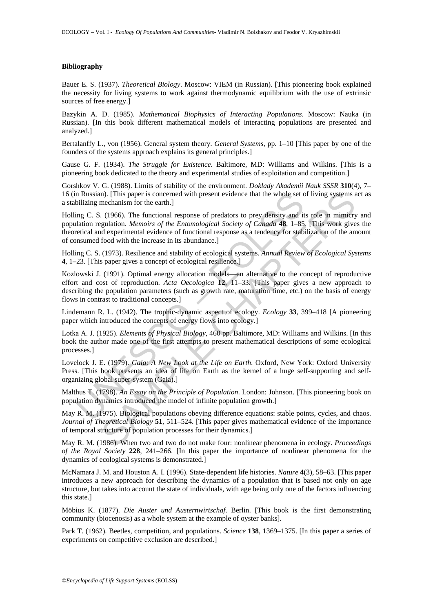### **Bibliography**

Bauer E. S. (1937). *Theoretical Biology*. Moscow: VIEM (in Russian). [This pioneering book explained the necessity for living systems to work against thermodynamic equilibrium with the use of extrinsic sources of free energy.]

Bazykin A. D. (1985). *Mathematical Biophysics of Interacting Populations*. Moscow: Nauka (in Russian). [In this book different mathematical models of interacting populations are presented and analyzed.]

Bertalanffy L., von (1956). General system theory. *General Systems*, pp. 1–10 [This paper by one of the founders of the systems approach explains its general principles.]

Gause G. F. (1934). *The Struggle for Existence*. Baltimore, MD: Williams and Wilkins. [This is a pioneering book dedicated to the theory and experimental studies of exploitation and competition.]

Gorshkov V. G. (1988). Limits of stability of the environment. *Doklady Akademii Nauk SSSR* **310**(4), 7– 16 (in Russian). [This paper is concerned with present evidence that the whole set of living systems act as a stabilizing mechanism for the earth.]

In Russian). [This paper is concerned with present evidence that the whole set colidizing mechanism for the earth.]<br>
ing C. S. (1966). The functional response of predators to prey density and it<br>
alation regulation. *Memoi* m). [This paper is concerned with present evidence that the whole set of living systems and contentain for the earth.]<br>
... (1966). The functional response of predators to prey density and its role in minicry<br>
...(1966). Holling C. S. (1966). The functional response of predators to prey density and its role in mimicry and population regulation. *Memoirs of the Entomological Society of Canada* **48**, 1–85. [This work gives the theoretical and experimental evidence of functional response as a tendency for stabilization of the amount of consumed food with the increase in its abundance.]

Holling C. S. (1973). Resilience and stability of ecological systems. *Annual Review of Ecological Systems* **4**, 1–23. [This paper gives a concept of ecological resilience.]

Kozlowski J. (1991). Optimal energy allocation models—an alternative to the concept of reproductive effort and cost of reproduction. *Acta Oecologica* **12**, 11–33. [This paper gives a new approach to describing the population parameters (such as growth rate, maturation time, etc.) on the basis of energy flows in contrast to traditional concepts.]

Lindemann R. L. (1942). The trophic-dynamic aspect of ecology. *Ecology* **33**, 399–418 [A pioneering paper which introduced the concepts of energy flows into ecology.]

Lotka A. J. (1925). *Elements of Physical Biology*, 460 pp. Baltimore, MD: Williams and Wilkins. [In this book the author made one of the first attempts to present mathematical descriptions of some ecological processes.]

Lovelock J. E. (1979). *Gaia: A New Look at the Life on Earth*. Oxford, New York: Oxford University Press. [This book presents an idea of life on Earth as the kernel of a huge self-supporting and selforganizing global super-system (Gaia).]

Malthus T. (1798). *An Essay on the Principle of Population*. London: Johnson. [This pioneering book on population dynamics introduced the model of infinite population growth.]

May R. M. (1975). Biological populations obeying difference equations: stable points, cycles, and chaos. *Journal of Theoretical Biology* **51**, 511–524. [This paper gives mathematical evidence of the importance of temporal structure of population processes for their dynamics.]

May R. M. (1986). When two and two do not make four: nonlinear phenomena in ecology. *Proceedings of the Royal Society* **228**, 241–266. [In this paper the importance of nonlinear phenomena for the dynamics of ecological systems is demonstrated.]

McNamara J. M. and Houston A. I. (1996). State-dependent life histories. *Nature* **4**(3), 58–63. [This paper introduces a new approach for describing the dynamics of a population that is based not only on age structure, but takes into account the state of individuals, with age being only one of the factors influencing this state.]

Möbius K. (1877). *Die Auster und Austernwirtschaf*. Berlin. [This book is the first demonstrating community (biocenosis) as a whole system at the example of oyster banks].

Park T. (1962). Beetles, competition, and populations. *Science* **138**, 1369–1375. [In this paper a series of experiments on competitive exclusion are described.]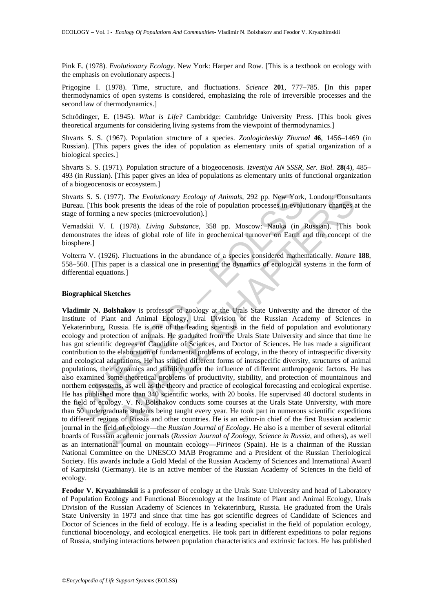Pink E. (1978). *Evolutionary Ecology*. New York: Harper and Row. [This is a textbook on ecology with the emphasis on evolutionary aspects.]

Prigogine I. (1978). Time, structure, and fluctuations. *Science* **201**, 777–785. [In this paper thermodynamics of open systems is considered, emphasizing the role of irreversible processes and the second law of thermodynamics.]

Schrödinger, E. (1945). *What is Life?* Cambridge: Cambridge University Press. [This book gives theoretical arguments for considering living systems from the viewpoint of thermodynamics.]

Shvarts S. S. (1967). Population structure of a species. *Zoologicheskiy Zhurnal* **46**, 1456–1469 (in Russian). [This papers gives the idea of population as elementary units of spatial organization of a biological species.]

Shvarts S. S. (1971). Population structure of a biogeocenosis. *Izvestiya AN SSSR, Ser. Biol.* **28**(4), 485– 493 (in Russian). [This paper gives an idea of populations as elementary units of functional organization of a biogeocenosis or ecosystem.]

Shvarts S. S. (1977). *The Evolutionary Ecology of Animals*, 292 pp. New York, London: Consultants Bureau. [This book presents the ideas of the role of population processes in evolutionary changes at the stage of forming a new species (microevolution).]

Vernadskii V. I. (1978). *Living Substance*, 358 pp. Moscow: Nauka (in Russian). [This book demonstrates the ideas of global role of life in geochemical turnover on Earth and the concept of the biosphere.]

Volterra V. (1926). Fluctuations in the abundance of a species considered mathematically. *Nature* **188**, 558–560. [This paper is a classical one in presenting the dynamics of ecological systems in the form of differential equations.]

### **Biographical Sketches**

Its S. S. (1977). The Evolutionary Ecology of Animals, 292 pp. New York,<br>au. [This book presents the ideas of the role of population processes in evolu<br>of forming a new species (incircevolution).]<br>and addskii V. I. (1978). . (1977). *The Evolutionary Ecology of Animals*, 292 pp. New York, London, Consul<br>solook presents the ideas of the role of population processes in evolutionary changes<br>s hook presents the ideas of the role of population p **Vladimir N. Bolshakov** is professor of zoology at the Urals State University and the director of the Institute of Plant and Animal Ecology, Ural Division of the Russian Academy of Sciences in Yekaterinburg, Russia. He is one of the leading scientists in the field of population and evolutionary ecology and protection of animals. He graduated from the Urals State University and since that time he has got scientific degrees of Candidate of Sciences, and Doctor of Sciences. He has made a significant contribution to the elaboration of fundamental problems of ecology, in the theory of intraspecific diversity and ecological adaptations. He has studied different forms of intraspecific diversity, structures of animal populations, their dynamics and stability under the influence of different anthropogenic factors. He has also examined some theoretical problems of productivity, stability, and protection of mountainous and northern ecosystems, as well as the theory and practice of ecological forecasting and ecological expertise. He has published more than 340 scientific works, with 20 books. He supervised 40 doctoral students in the field of ecology. V. N. Bolshakov conducts some courses at the Urals State University, with more than 50 undergraduate students being taught every year. He took part in numerous scientific expeditions to different regions of Russia and other countries. He is an editor-in chief of the first Russian academic journal in the field of ecology—the *Russian Journal of Ecology*. He also is a member of several editorial boards of Russian academic journals (*Russian Journal of Zoology*, *Science in Russia*, and others), as well as an international journal on mountain ecology—*Pirineos* (Spain). He is a chairman of the Russian National Committee on the UNESCO MAB Programme and a President of the Russian Theriological Society. His awards include a Gold Medal of the Russian Academy of Sciences and International Award of Karpinski (Germany). He is an active member of the Russian Academy of Sciences in the field of ecology.

**Feodor V. Kryazhimskii** is a professor of ecology at the Urals State University and head of Laboratory of Population Ecology and Functional Biocenology at the Institute of Plant and Animal Ecology, Urals Division of the Russian Academy of Sciences in Yekaterinburg, Russia. He graduated from the Urals State University in 1973 and since that time has got scientific degrees of Candidate of Sciences and Doctor of Sciences in the field of ecology. He is a leading specialist in the field of population ecology, functional biocenology, and ecological energetics. He took part in different expeditions to polar regions of Russia, studying interactions between population characteristics and extrinsic factors. He has published